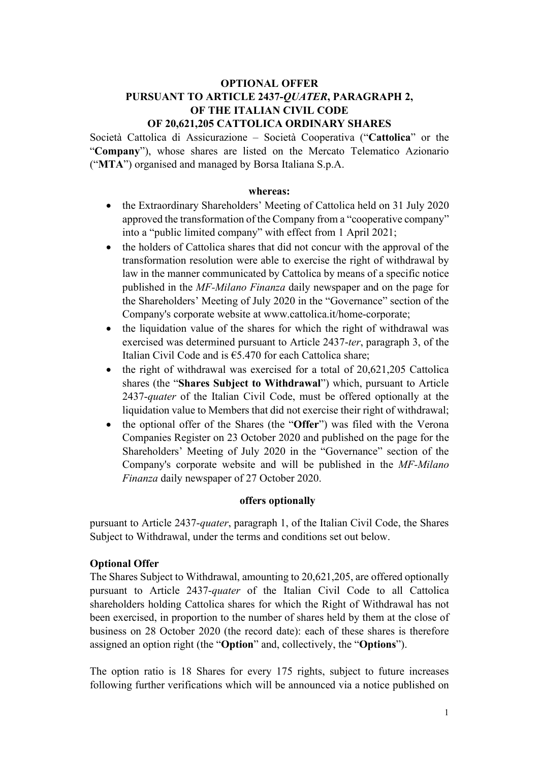# OPTIONAL OFFER PURSUANT TO ARTICLE 2437-QUATER, PARAGRAPH 2, OF THE ITALIAN CIVIL CODE

## OF 20,621,205 CATTOLICA ORDINARY SHARES

Società Cattolica di Assicurazione – Società Cooperativa ("Cattolica" or the "Company"), whose shares are listed on the Mercato Telematico Azionario ("MTA") organised and managed by Borsa Italiana S.p.A.

#### whereas:

- the Extraordinary Shareholders' Meeting of Cattolica held on 31 July 2020 approved the transformation of the Company from a "cooperative company" into a "public limited company" with effect from 1 April 2021;
- the holders of Cattolica shares that did not concur with the approval of the transformation resolution were able to exercise the right of withdrawal by law in the manner communicated by Cattolica by means of a specific notice published in the MF-Milano Finanza daily newspaper and on the page for the Shareholders' Meeting of July 2020 in the "Governance" section of the Company's corporate website at www.cattolica.it/home-corporate;
- the liquidation value of the shares for which the right of withdrawal was exercised was determined pursuant to Article 2437-ter, paragraph 3, of the Italian Civil Code and is  $65.470$  for each Cattolica share;
- $\bullet$  the right of withdrawal was exercised for a total of 20,621,205 Cattolica shares (the "Shares Subject to Withdrawal") which, pursuant to Article 2437-quater of the Italian Civil Code, must be offered optionally at the liquidation value to Members that did not exercise their right of withdrawal;
- the optional offer of the Shares (the "Offer") was filed with the Verona Companies Register on 23 October 2020 and published on the page for the Shareholders' Meeting of July 2020 in the "Governance" section of the Company's corporate website and will be published in the MF-Milano Finanza daily newspaper of 27 October 2020.

#### offers optionally

pursuant to Article 2437-quater, paragraph 1, of the Italian Civil Code, the Shares Subject to Withdrawal, under the terms and conditions set out below.

### Optional Offer

The Shares Subject to Withdrawal, amounting to 20,621,205, are offered optionally pursuant to Article 2437-quater of the Italian Civil Code to all Cattolica shareholders holding Cattolica shares for which the Right of Withdrawal has not been exercised, in proportion to the number of shares held by them at the close of business on 28 October 2020 (the record date): each of these shares is therefore assigned an option right (the "Option" and, collectively, the "Options").

The option ratio is 18 Shares for every 175 rights, subject to future increases following further verifications which will be announced via a notice published on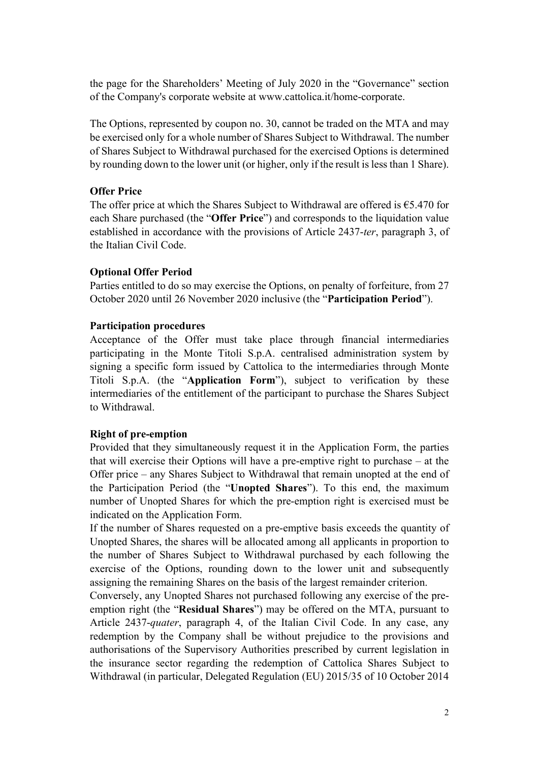the page for the Shareholders' Meeting of July 2020 in the "Governance" section of the Company's corporate website at www.cattolica.it/home-corporate.

The Options, represented by coupon no. 30, cannot be traded on the MTA and may be exercised only for a whole number of Shares Subject to Withdrawal. The number of Shares Subject to Withdrawal purchased for the exercised Options is determined by rounding down to the lower unit (or higher, only if the result is less than 1 Share).

#### Offer Price

The offer price at which the Shares Subject to Withdrawal are offered is  $€5.470$  for each Share purchased (the "Offer Price") and corresponds to the liquidation value established in accordance with the provisions of Article 2437-ter, paragraph 3, of the Italian Civil Code.

### Optional Offer Period

Parties entitled to do so may exercise the Options, on penalty of forfeiture, from 27 October 2020 until 26 November 2020 inclusive (the "Participation Period").

### Participation procedures

Acceptance of the Offer must take place through financial intermediaries participating in the Monte Titoli S.p.A. centralised administration system by signing a specific form issued by Cattolica to the intermediaries through Monte Titoli S.p.A. (the "Application Form"), subject to verification by these intermediaries of the entitlement of the participant to purchase the Shares Subject to Withdrawal.

#### Right of pre-emption

Provided that they simultaneously request it in the Application Form, the parties that will exercise their Options will have a pre-emptive right to purchase – at the Offer price – any Shares Subject to Withdrawal that remain unopted at the end of the Participation Period (the "Unopted Shares"). To this end, the maximum number of Unopted Shares for which the pre-emption right is exercised must be indicated on the Application Form.

If the number of Shares requested on a pre-emptive basis exceeds the quantity of Unopted Shares, the shares will be allocated among all applicants in proportion to the number of Shares Subject to Withdrawal purchased by each following the exercise of the Options, rounding down to the lower unit and subsequently assigning the remaining Shares on the basis of the largest remainder criterion.

Conversely, any Unopted Shares not purchased following any exercise of the preemption right (the "Residual Shares") may be offered on the MTA, pursuant to Article 2437-quater, paragraph 4, of the Italian Civil Code. In any case, any redemption by the Company shall be without prejudice to the provisions and authorisations of the Supervisory Authorities prescribed by current legislation in the insurance sector regarding the redemption of Cattolica Shares Subject to Withdrawal (in particular, Delegated Regulation (EU) 2015/35 of 10 October 2014